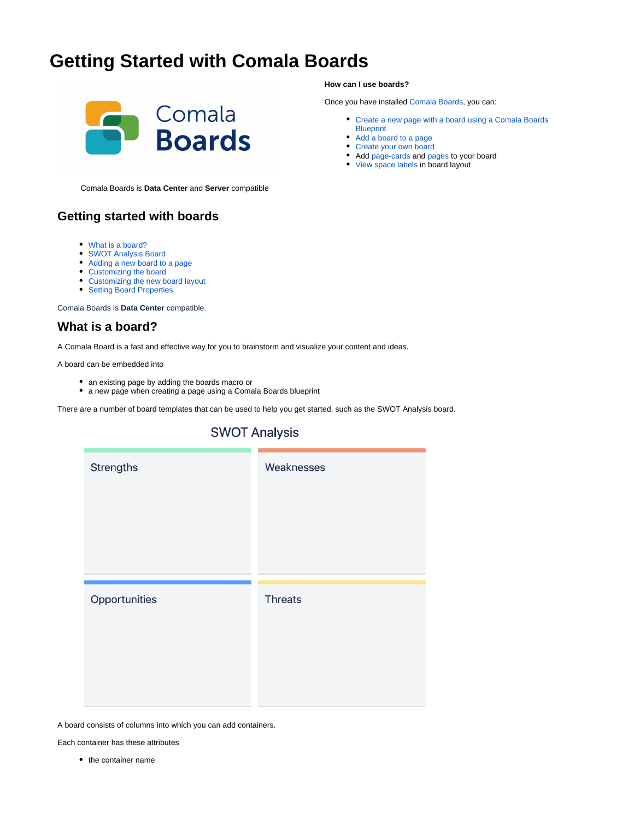# <span id="page-0-1"></span>**Getting Started with Comala Boards**



Comala Boards is **Data Center** and **Server** compatible

### **Getting started with boards**

- [What is a board?](#page-0-0)
- [SWOT Analysis Board](#page-1-0)
- [Adding a new board to a page](#page-3-0)
- [Customizing the board](#page-5-0)
- [Customizing the new board layout](#page-5-1)
- [Setting Board Properties](#page-8-0)

Comala Boards is **Data Center** compatible.

### <span id="page-0-0"></span>**What is a board?**

A Comala Board is a fast and effective way for you to brainstorm and visualize your content and ideas.

A board can be embedded into

- an existing page by adding the boards macro or
- a new page when creating a page using a Comala Boards blueprint

There are a number of board templates that can be used to help you get started, such as the SWOT Analysis board. CIN/OT Analysis

| <b>OVYOT ATIGIY</b> SIS |                |  |  |  |  |
|-------------------------|----------------|--|--|--|--|
| <b>Strengths</b>        | Weaknesses     |  |  |  |  |
| Opportunities           | <b>Threats</b> |  |  |  |  |

A board consists of columns into which you can add containers.

Each container has these attributes

• the container name

#### **How can I use boards?**

Once you have installed [Comala Boards](https://wiki.comalatech.com/display/CBCSL/Welcome+to+Comala+Boards+for+Confluence+Server), you can:

- [Create a new page with a board using a Comala Boards](https://wiki.comalatech.com/display/CBCSL/Create+a+new+page+with+a+board+using+a+Boards+Blueprint)  **[Blueprint](https://wiki.comalatech.com/display/CBCSL/Create+a+new+page+with+a+board+using+a+Boards+Blueprint)**
- [Add a board to a page](https://wiki.comalatech.com/display/CBCSL/Add+a+board+to+a+page)
- [Create your own board](https://wiki.comalatech.com/display/CBCSL/Customize+a+board)
- Add [page-cards](https://wiki.comalatech.com/display/CBCSL/Add+a+page-card+to+a+container) and [pages](https://wiki.comalatech.com/display/CBCSL/Add+a+page-card+to+a+container) to your board
- [View space labels](https://wiki.comalatech.com/pages/viewpage.action?pageId=49361281) in board layout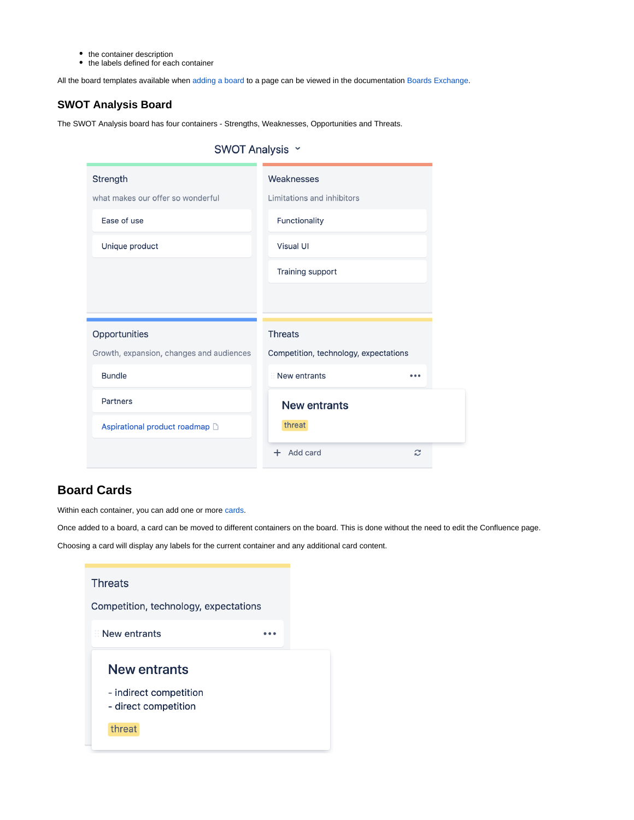- the container description
- the labels defined for each container

All the board templates available when [adding a board](https://wiki.comalatech.com/display/CBCSL/Add+a+board+to+a+page) to a page can be viewed in the documentation [Boards Exchange](https://wiki.comalatech.com/display/CBCE).

### <span id="page-1-0"></span>**SWOT Analysis Board**

The SWOT Analysis board has four containers - Strengths, Weaknesses, Opportunities and Threats.

| SWOT Analysis v                               |                                          |
|-----------------------------------------------|------------------------------------------|
| Strength<br>what makes our offer so wonderful | Weaknesses<br>Limitations and inhibitors |
| Ease of use                                   | Functionality                            |
| Unique product                                | Visual UI                                |
|                                               | Training support                         |
|                                               |                                          |
| Opportunities                                 | <b>Threats</b>                           |
| Growth, expansion, changes and audiences      | Competition, technology, expectations    |
| <b>Bundle</b>                                 | New entrants<br>.                        |
| Partners                                      | <b>New entrants</b>                      |
| Aspirational product roadmap D                | threat                                   |
|                                               | + Add card<br>S                          |

## **Board Cards**

Within each container, you can add one or more [cards.](https://wiki.comalatech.com/display/CBCSL/Add+a+card+to+a+container)

Once added to a board, a card can be moved to different containers on the board. This is done without the need to edit the Confluence page.

Choosing a card will display any labels for the current container and any additional card content.

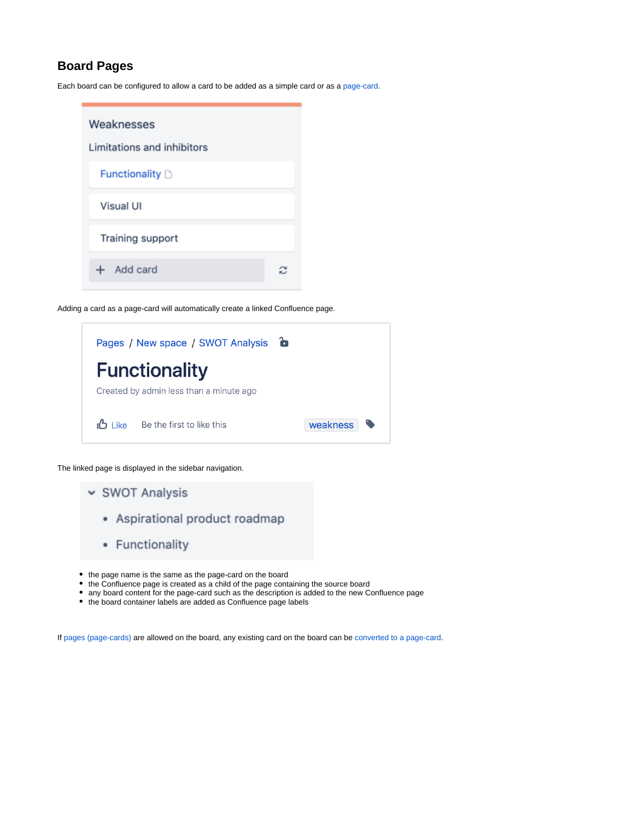## **Board Pages**

Each board can be configured to allow a card to be added as a simple card or as a [page-card](https://wiki.comalatech.com/display/CBCSL/Add+a+page-card+to+a+container).



Adding a card as a page-card will automatically create a linked Confluence page.

| Pages / New space / SWOT Analysis <b>b</b> |                       |
|--------------------------------------------|-----------------------|
| <b>Functionality</b>                       |                       |
| Created by admin less than a minute ago    |                       |
| like ו לוו<br>Be the first to like this    | $\bullet$<br>weakness |

The linked page is displayed in the sidebar navigation.

- v SWOT Analysis
	- Aspirational product roadmap
	- Functionality
- the page name is the same as the page-card on the board
- the Confluence page is created as a child of the page containing the source board
- any board content for the page-card such as the description is added to the new Confluence page
- the board container labels are added as Confluence page labels

If [pages \(page-cards\)](https://wiki.comalatech.com/pages/viewpage.action?pageId=49376472) are allowed on the board, any existing card on the board can be [converted to a page-card](https://wiki.comalatech.com/display/CBCSL/Convert+a+card+to+a+page).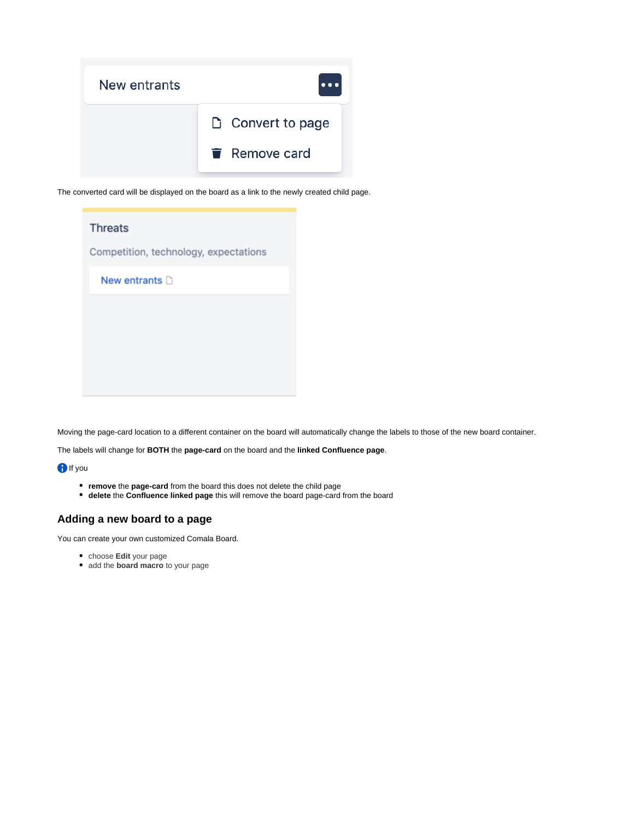

The converted card will be displayed on the board as a link to the newly created child page.



Moving the page-card location to a different container on the board will automatically change the labels to those of the new board container.

The labels will change for **BOTH** the **page-card** on the board and the **linked Confluence page**.

**f** If you

- **remove** the **page-card** from the board this does not delete the child page
- **delete** the **Confluence linked page** this will remove the board page-card from the board

### <span id="page-3-0"></span>**Adding a new board to a page**

You can create your own customized Comala Board.

- choose **Edit** your page
- add the **board macro** to your page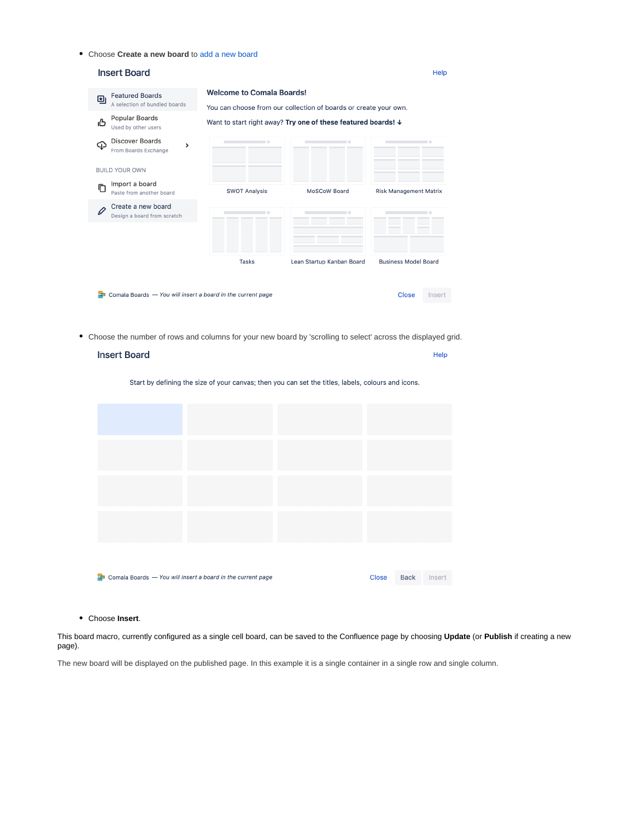Choose **Create a new board** to [add a new board](https://wiki.comalatech.com/display/CBCSL/Add+a+board+to+a+page)

| <b>Insert Board</b>                                                  |                                  |                                                                  |                               | Help   |
|----------------------------------------------------------------------|----------------------------------|------------------------------------------------------------------|-------------------------------|--------|
| <b>Featured Boards</b><br>⊡η<br>A selection of bundled boards        | <b>Welcome to Comala Boards!</b> | You can choose from our collection of boards or create your own. |                               |        |
| Popular Boards<br>ம்<br>Used by other users                          |                                  | Want to start right away? Try one of these featured boards! ↓    |                               |        |
| <b>Discover Boards</b><br>Œ<br>$\rightarrow$<br>From Boards Exchange |                                  |                                                                  |                               |        |
| <b>BUILD YOUR OWN</b>                                                |                                  |                                                                  |                               |        |
| Import a board<br>冋<br>Paste from another board                      | <b>SWOT Analysis</b>             | MoSCoW Board                                                     | <b>Risk Management Matrix</b> |        |
| Create a new board<br>$\mathscr{Q}$<br>Design a board from scratch   |                                  |                                                                  |                               |        |
|                                                                      |                                  |                                                                  |                               |        |
|                                                                      | Tasks                            | Lean Startup Kanban Board                                        | <b>Business Model Board</b>   |        |
|                                                                      |                                  |                                                                  |                               |        |
| Comala Boards - You will insert a board in the current page          |                                  |                                                                  | <b>Close</b>                  | Insert |
|                                                                      |                                  |                                                                  |                               |        |

Choose the number of rows and columns for your new board by 'scrolling to select' across the displayed grid.

| <b>Insert Board</b>                                                                                | Help   |
|----------------------------------------------------------------------------------------------------|--------|
| Start by defining the size of your canvas; then you can set the titles, labels, colours and icons. |        |
|                                                                                                    |        |
|                                                                                                    |        |
|                                                                                                    |        |
|                                                                                                    |        |
|                                                                                                    |        |
| Comala Boards - You will insert a board in the current page<br><b>Close</b><br><b>Back</b><br>÷.   | Insert |

Choose **Insert**.

This board macro, currently configured as a single cell board, can be saved to the Confluence page by choosing **Update** (or **Publish** if creating a new page).

The new board will be displayed on the published page. In this example it is a single container in a single row and single column.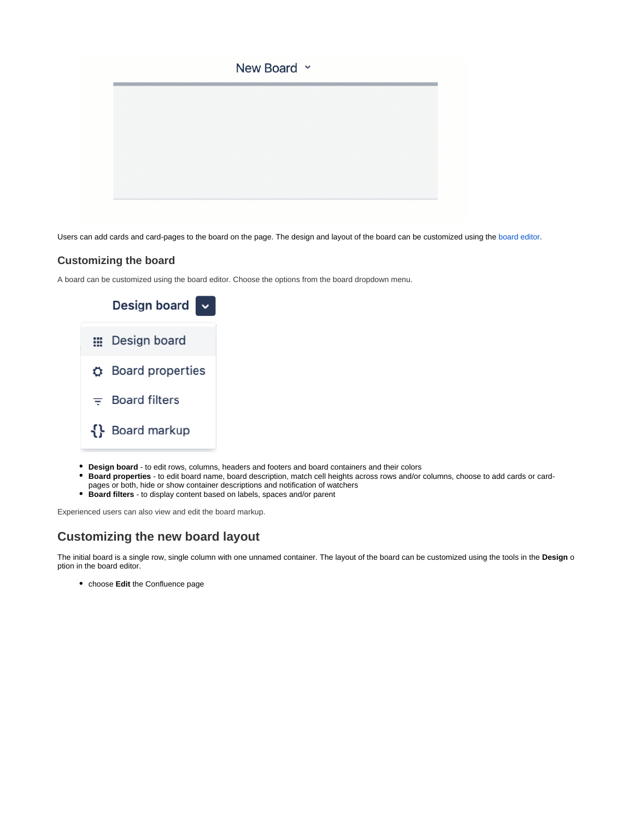

Users can add cards and card-pages to the board on the page. The design and layout of the board can be customized using the [board editor.](https://wiki.comalatech.com/display/CBCSL/Board+editor)

### <span id="page-5-0"></span>**Customizing the board**

A board can be customized using the board editor. Choose the options from the board dropdown menu.



- **Design board** to edit rows, columns, headers and footers and board containers and their colors
- **Board properties** to edit board name, board description, match cell heights across rows and/or columns, choose to add cards or card-
- pages or both, hide or show container descriptions and notification of watchers
- **Board filters** to display content based on labels, spaces and/or parent

Experienced users can also view and edit the board markup.

### <span id="page-5-1"></span>**Customizing the new board layout**

The initial board is a single row, single column with one unnamed container. The layout of the board can be customized using the tools in the **Design** o ption in the board editor.

choose **Edit** the Confluence page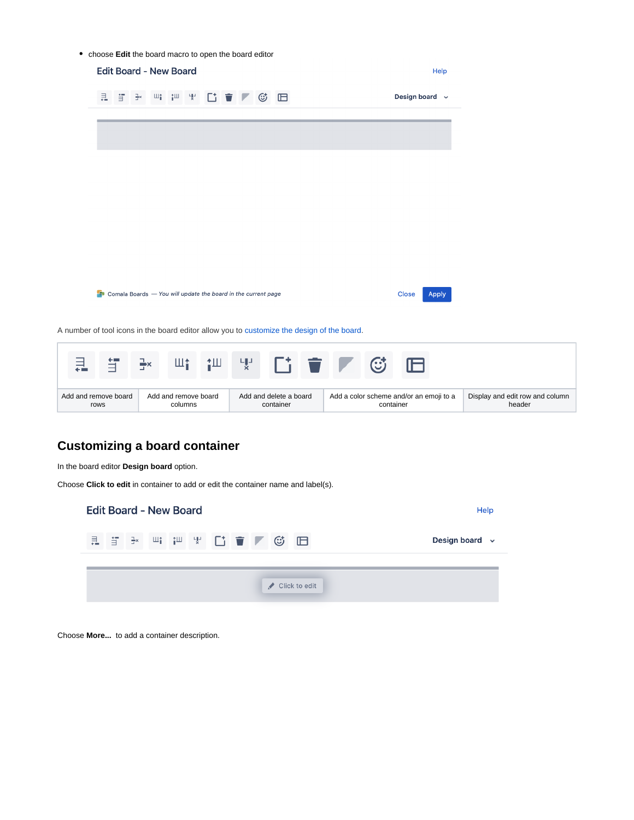choose **Edit** the board macro to open the board editor

| <b>Edit Board - New Board</b> |    |                                 |                                                               |                |                                                                                            |  |                           | Help                                    |                                           |
|-------------------------------|----|---------------------------------|---------------------------------------------------------------|----------------|--------------------------------------------------------------------------------------------|--|---------------------------|-----------------------------------------|-------------------------------------------|
| 킖<br>盲                        | ÷х | 一个<br>Щţ                        | 냋<br>Гt                                                       | $\blacksquare$ | 旧<br>G                                                                                     |  |                           | Design board v                          |                                           |
|                               |    |                                 |                                                               |                |                                                                                            |  |                           |                                         |                                           |
|                               |    |                                 |                                                               |                |                                                                                            |  |                           |                                         |                                           |
|                               |    |                                 |                                                               |                |                                                                                            |  |                           |                                         |                                           |
|                               |    |                                 |                                                               |                |                                                                                            |  |                           |                                         |                                           |
|                               |    |                                 |                                                               |                |                                                                                            |  |                           |                                         |                                           |
|                               |    |                                 |                                                               |                |                                                                                            |  |                           |                                         |                                           |
|                               |    |                                 |                                                               |                |                                                                                            |  |                           |                                         |                                           |
|                               |    |                                 |                                                               |                |                                                                                            |  |                           |                                         |                                           |
|                               |    |                                 | Comala Boards - You will update the board in the current page |                |                                                                                            |  |                           | Close<br>Apply                          |                                           |
|                               |    |                                 |                                                               |                | A number of tool icons in the board editor allow you to customize the design of the board. |  |                           |                                         |                                           |
| 荁                             | 글× | Шţ                              | 一                                                             | 냋              |                                                                                            |  | $\mathbb{G}^{\mathsf{t}}$ |                                         |                                           |
| Add and remove board<br>rows  |    | Add and remove board<br>columns |                                                               |                | Add and delete a board<br>container                                                        |  | container                 | Add a color scheme and/or an emoji to a | Display and edit row and column<br>header |

# **Customizing a board container**

In the board editor **Design board** option.

Choose **Click to edit** in container to add or edit the container name and label(s).



Choose **More...** to add a container description.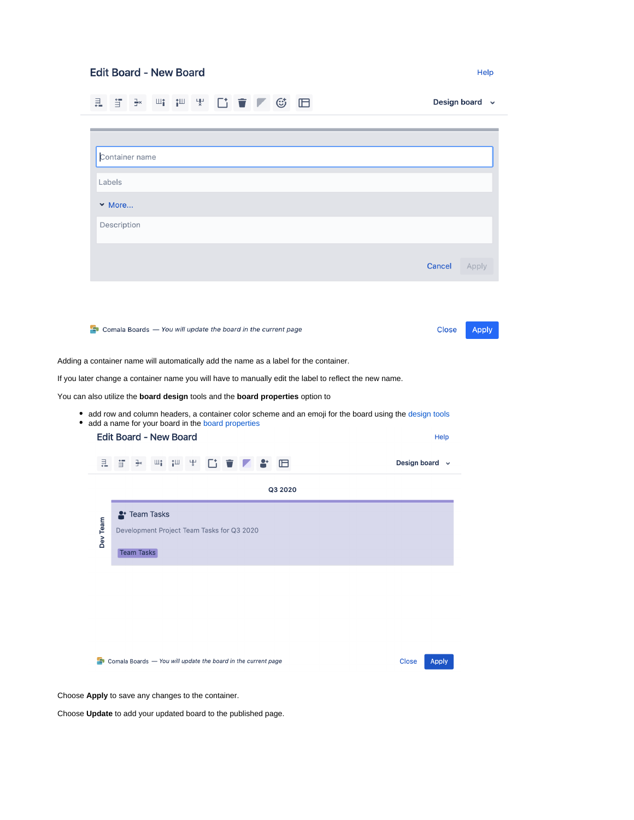### **Edit Board - New Board**

|                | 킖        | ÷×<br>≒                                                                | Шţ                           | tШ<br>냋                                    |  |         | 呾                                                                                                      |  | Design board   |              |
|----------------|----------|------------------------------------------------------------------------|------------------------------|--------------------------------------------|--|---------|--------------------------------------------------------------------------------------------------------|--|----------------|--------------|
|                |          |                                                                        |                              |                                            |  |         |                                                                                                        |  |                |              |
|                |          | Container name                                                         |                              |                                            |  |         |                                                                                                        |  |                |              |
|                | Labels   |                                                                        |                              |                                            |  |         |                                                                                                        |  |                |              |
|                |          | $~\vee~$ More                                                          |                              |                                            |  |         |                                                                                                        |  |                |              |
|                |          | Description                                                            |                              |                                            |  |         |                                                                                                        |  |                |              |
|                |          |                                                                        |                              |                                            |  |         |                                                                                                        |  | Cancel         | Apply        |
|                |          |                                                                        |                              |                                            |  |         |                                                                                                        |  |                |              |
|                |          |                                                                        |                              |                                            |  |         |                                                                                                        |  |                |              |
|                |          | $\Box$ Comala Boards $-$ You will update the board in the current page |                              |                                            |  |         |                                                                                                        |  | Close          | <b>Apply</b> |
|                |          |                                                                        |                              |                                            |  |         |                                                                                                        |  |                |              |
|                |          |                                                                        |                              |                                            |  |         | Adding a container name will automatically add the name as a label for the container.                  |  |                |              |
|                |          |                                                                        |                              |                                            |  |         | If you later change a container name you will have to manually edit the label to reflect the new name. |  |                |              |
|                |          |                                                                        |                              |                                            |  |         | You can also utilize the board design tools and the board properties option to                         |  |                |              |
| ٠<br>$\bullet$ |          | add a name for your board in the board properties                      |                              |                                            |  |         | add row and column headers, a container color scheme and an emoji for the board using the design tools |  |                |              |
|                |          | <b>Edit Board - New Board</b>                                          |                              |                                            |  |         |                                                                                                        |  | Help           |              |
|                | 큹.       | 盲<br>Ξ×                                                                | $\mathbb{H}^\ast_\mathbb{I}$ | 押<br>냋                                     |  | ⊞       |                                                                                                        |  | Design board v |              |
|                |          |                                                                        |                              |                                            |  | Q3 2020 |                                                                                                        |  |                |              |
|                |          | <sup>1</sup> Team Tasks                                                |                              |                                            |  |         |                                                                                                        |  |                |              |
|                | Dev Team |                                                                        |                              | Development Project Team Tasks for Q3 2020 |  |         |                                                                                                        |  |                |              |
|                |          | <b>Team Tasks</b>                                                      |                              |                                            |  |         |                                                                                                        |  |                |              |
|                |          |                                                                        |                              |                                            |  |         |                                                                                                        |  |                |              |
|                |          |                                                                        |                              |                                            |  |         |                                                                                                        |  |                |              |
|                |          |                                                                        |                              |                                            |  |         |                                                                                                        |  |                |              |
|                |          |                                                                        |                              |                                            |  |         |                                                                                                        |  |                |              |

 $\Box$  Comala Boards  $-$  You will update the board in the current page

| Close | <b>Apply</b> |
|-------|--------------|
|       |              |

Choose **Apply** to save any changes to the container.

Choose **Update** to add your updated board to the published page.

Help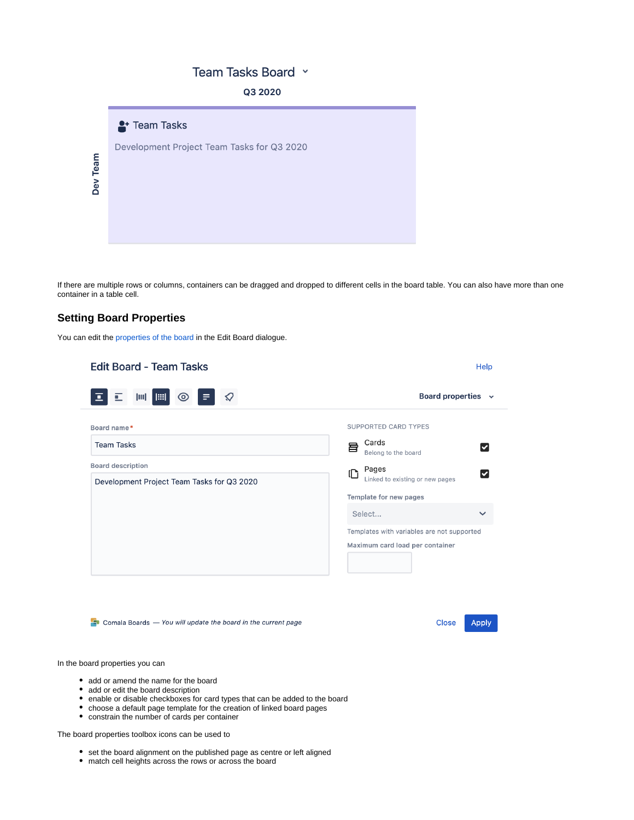### Team Tasks Board ×

Q3 2020



If there are multiple rows or columns, containers can be dragged and dropped to different cells in the board table. You can also have more than one container in a table cell.

### <span id="page-8-0"></span>**Setting Board Properties**

You can edit the properties of the board in the Edit Board dialogue.

| <b>Edit Board - Team Tasks</b>                                         | Help                                       |
|------------------------------------------------------------------------|--------------------------------------------|
| Ξ<br>$\circledcirc$<br>▣                                               | Board properties v                         |
| Board name*                                                            | <b>SUPPORTED CARD TYPES</b>                |
| <b>Team Tasks</b>                                                      | Cards<br>冒<br>Belong to the board          |
| <b>Board description</b>                                               | Pages                                      |
| Development Project Team Tasks for Q3 2020                             | ſŊ<br>V<br>Linked to existing or new pages |
|                                                                        | Template for new pages                     |
|                                                                        | Select                                     |
|                                                                        | Templates with variables are not supported |
|                                                                        | Maximum card load per container            |
|                                                                        |                                            |
| $\Box$ Comala Boards $-$ You will update the board in the current page | <b>Close</b><br><b>Apply</b>               |
| aard proportion vau oon                                                |                                            |

In the board properties you can

- add or amend the name for the board
- add or edit the board description
- enable or disable checkboxes for card types that can be added to the board
- choose a default page template for the creation of linked board pages
- constrain the number of cards per container

The board properties toolbox icons can be used to

- set the board alignment on the published page as centre or left aligned
- match cell heights across the rows or across the board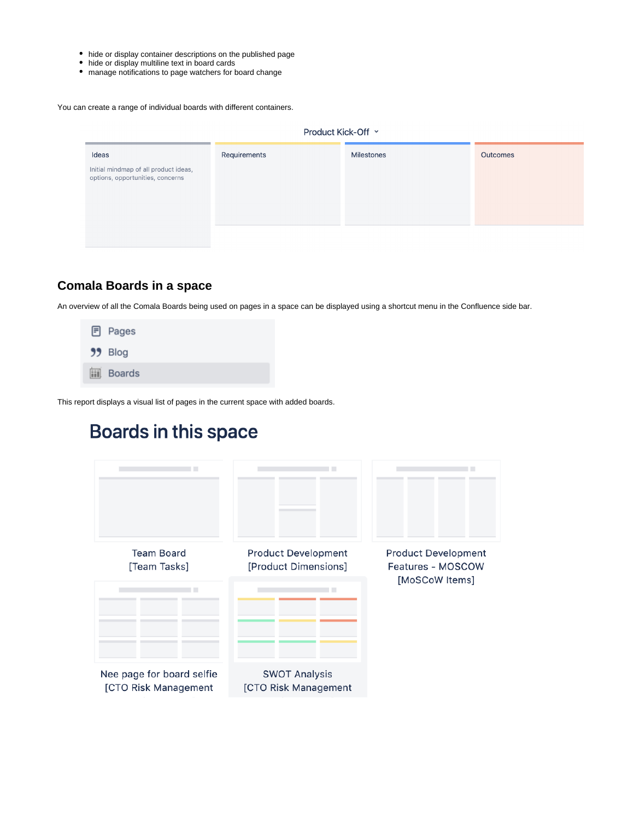- hide or display container descriptions on the published page
- hide or display multiline text in board cards
- manage notifications to page watchers for board change

You can create a range of individual boards with different containers.

| Product Kick-Off ×                                                        |              |                   |                 |  |  |  |
|---------------------------------------------------------------------------|--------------|-------------------|-----------------|--|--|--|
| Ideas                                                                     | Requirements | <b>Milestones</b> | <b>Outcomes</b> |  |  |  |
| Initial mindmap of all product ideas,<br>options, opportunities, concerns |              |                   |                 |  |  |  |

### **Comala Boards in a space**

An overview of all the Comala Boards being used on pages in a space can be displayed using a shortcut menu in the Confluence side bar.

| <b>同</b> Pages    |
|-------------------|
| $99$ Blog         |
| <b>iii</b> Boards |
|                   |

This report displays a visual list of pages in the current space with added boards.

# Boards in this space